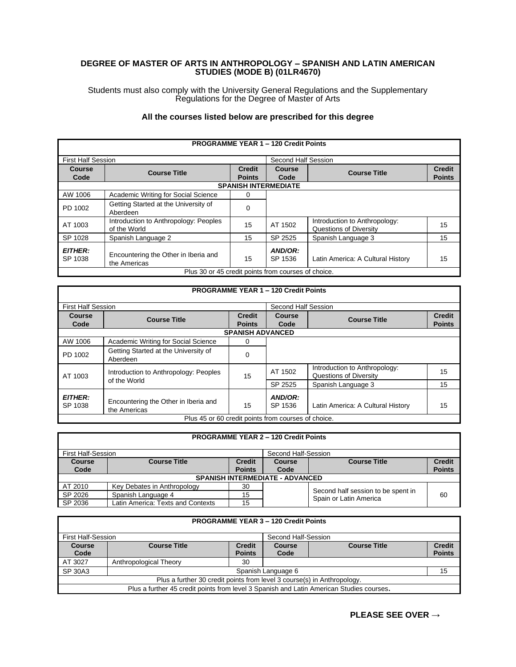## **DEGREE OF MASTER OF ARTS IN ANTHROPOLOGY – SPANISH AND LATIN AMERICAN STUDIES (MODE B) (01LR4670)**

Students must also comply with the University General Regulations and the Supplementary Regulations for the Degree of Master of Arts

## **All the courses listed below are prescribed for this degree**

| <b>PROGRAMME YEAR 1 - 120 Credit Points</b>         |                                                       |                                |                     |                                                                |                                |  |  |
|-----------------------------------------------------|-------------------------------------------------------|--------------------------------|---------------------|----------------------------------------------------------------|--------------------------------|--|--|
| <b>First Half Session</b>                           |                                                       |                                | Second Half Session |                                                                |                                |  |  |
| Course<br>Code                                      | <b>Course Title</b>                                   | <b>Credit</b><br><b>Points</b> | Course<br>Code      | <b>Course Title</b>                                            | <b>Credit</b><br><b>Points</b> |  |  |
|                                                     | <b>SPANISH INTERMEDIATE</b>                           |                                |                     |                                                                |                                |  |  |
| AW 1006                                             | Academic Writing for Social Science                   | 0                              |                     |                                                                |                                |  |  |
| PD 1002                                             | Getting Started at the University of<br>Aberdeen      | $\Omega$                       |                     |                                                                |                                |  |  |
| AT 1003                                             | Introduction to Anthropology: Peoples<br>of the World | 15                             | AT 1502             | Introduction to Anthropology:<br><b>Questions of Diversity</b> | 15                             |  |  |
| SP 1028                                             | Spanish Language 2                                    | 15                             | SP 2525             | Spanish Language 3                                             | 15                             |  |  |
| <b>EITHER:</b><br>SP 1038                           | Encountering the Other in Iberia and<br>the Americas  | 15                             | AND/OR:<br>SP 1536  | Latin America: A Cultural History                              | 15                             |  |  |
| Plus 30 or 45 credit points from courses of choice. |                                                       |                                |                     |                                                                |                                |  |  |

|                           | <b>PROGRAMME YEAR 1 - 120 Credit Points</b>           |                                |                       |                                                         |                                |  |  |
|---------------------------|-------------------------------------------------------|--------------------------------|-----------------------|---------------------------------------------------------|--------------------------------|--|--|
| <b>First Half Session</b> |                                                       |                                | Second Half Session   |                                                         |                                |  |  |
| Course<br>Code            | <b>Course Title</b>                                   | <b>Credit</b><br><b>Points</b> | <b>Course</b><br>Code | <b>Course Title</b>                                     | <b>Credit</b><br><b>Points</b> |  |  |
|                           |                                                       | <b>SPANISH ADVANCED</b>        |                       |                                                         |                                |  |  |
| AW 1006                   | Academic Writing for Social Science                   | 0                              |                       |                                                         |                                |  |  |
| PD 1002                   | Getting Started at the University of<br>Aberdeen      | 0                              |                       |                                                         |                                |  |  |
| AT 1003                   | Introduction to Anthropology: Peoples<br>of the World | 15                             | AT 1502               | Introduction to Anthropology:<br>Questions of Diversity | 15                             |  |  |
|                           |                                                       |                                | SP 2525               | Spanish Language 3                                      | 15                             |  |  |
| <b>EITHER:</b><br>SP 1038 | Encountering the Other in Iberia and<br>the Americas  | 15                             | AND/OR:<br>SP 1536    | Latin America: A Cultural History                       | 15                             |  |  |
|                           | Plus 45 or 60 credit points from courses of choice.   |                                |                       |                                                         |                                |  |  |

| <b>PROGRAMME YEAR 2 - 120 Credit Points</b> |                                                  |               |               |                                                              |               |  |
|---------------------------------------------|--------------------------------------------------|---------------|---------------|--------------------------------------------------------------|---------------|--|
|                                             | <b>First Half-Session</b><br>Second Half-Session |               |               |                                                              |               |  |
| <b>Course</b>                               | <b>Course Title</b>                              | <b>Credit</b> | <b>Course</b> | <b>Course Title</b>                                          | <b>Credit</b> |  |
| Code                                        |                                                  | <b>Points</b> | Code          |                                                              | <b>Points</b> |  |
| <b>SPANISH INTERMEDIATE - ADVANCED</b>      |                                                  |               |               |                                                              |               |  |
| AT 2010                                     | Key Debates in Anthropology                      | 30            |               |                                                              |               |  |
| SP 2026                                     | Spanish Language 4                               | 15            |               | Second half session to be spent in<br>Spain or Latin America | 60            |  |
| SP 2036                                     | Latin America: Texts and Contexts                | 15            |               |                                                              |               |  |

| <b>PROGRAMME YEAR 3 - 120 Credit Points</b>                                              |                                           |               |                    |                     |               |  |
|------------------------------------------------------------------------------------------|-------------------------------------------|---------------|--------------------|---------------------|---------------|--|
|                                                                                          | First Half-Session<br>Second Half-Session |               |                    |                     |               |  |
| <b>Course</b>                                                                            | <b>Course Title</b>                       | <b>Credit</b> | <b>Course</b>      | <b>Course Title</b> | <b>Credit</b> |  |
| Code                                                                                     |                                           | <b>Points</b> | Code               |                     | <b>Points</b> |  |
| AT 3027                                                                                  | Anthropological Theory                    | 30            |                    |                     |               |  |
| SP 30A3                                                                                  |                                           |               | Spanish Language 6 |                     | 15            |  |
| Plus a further 30 credit points from level 3 course(s) in Anthropology.                  |                                           |               |                    |                     |               |  |
| Plus a further 45 credit points from level 3 Spanish and Latin American Studies courses. |                                           |               |                    |                     |               |  |